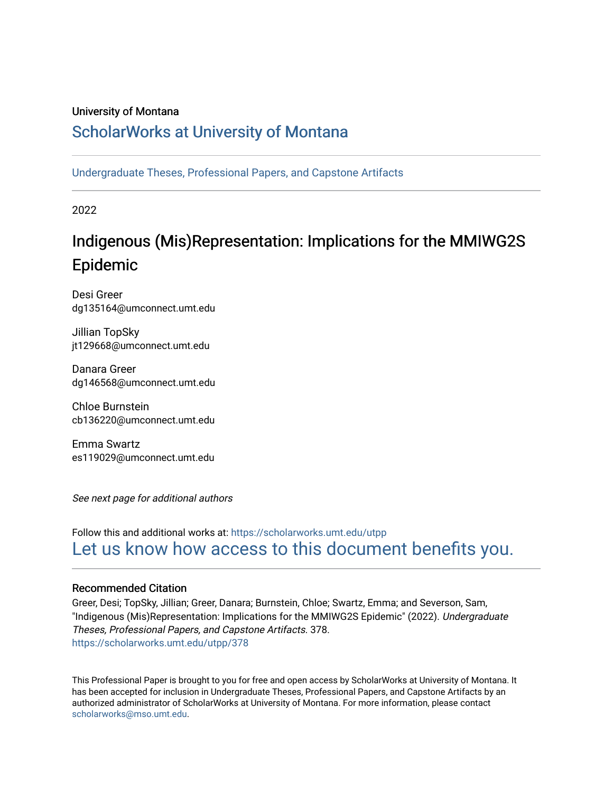#### University of Montana

### [ScholarWorks at University of Montana](https://scholarworks.umt.edu/)

[Undergraduate Theses, Professional Papers, and Capstone Artifacts](https://scholarworks.umt.edu/utpp)

2022

## Indigenous (Mis)Representation: Implications for the MMIWG2S Epidemic

Desi Greer dg135164@umconnect.umt.edu

Jillian TopSky jt129668@umconnect.umt.edu

Danara Greer dg146568@umconnect.umt.edu

Chloe Burnstein cb136220@umconnect.umt.edu

Emma Swartz es119029@umconnect.umt.edu

See next page for additional authors

### Follow this and additional works at: [https://scholarworks.umt.edu/utpp](https://scholarworks.umt.edu/utpp?utm_source=scholarworks.umt.edu%2Futpp%2F378&utm_medium=PDF&utm_campaign=PDFCoverPages) [Let us know how access to this document benefits you.](https://goo.gl/forms/s2rGfXOLzz71qgsB2)

#### Recommended Citation

Greer, Desi; TopSky, Jillian; Greer, Danara; Burnstein, Chloe; Swartz, Emma; and Severson, Sam, "Indigenous (Mis)Representation: Implications for the MMIWG2S Epidemic" (2022). Undergraduate Theses, Professional Papers, and Capstone Artifacts. 378. [https://scholarworks.umt.edu/utpp/378](https://scholarworks.umt.edu/utpp/378?utm_source=scholarworks.umt.edu%2Futpp%2F378&utm_medium=PDF&utm_campaign=PDFCoverPages)

This Professional Paper is brought to you for free and open access by ScholarWorks at University of Montana. It has been accepted for inclusion in Undergraduate Theses, Professional Papers, and Capstone Artifacts by an authorized administrator of ScholarWorks at University of Montana. For more information, please contact [scholarworks@mso.umt.edu.](mailto:scholarworks@mso.umt.edu)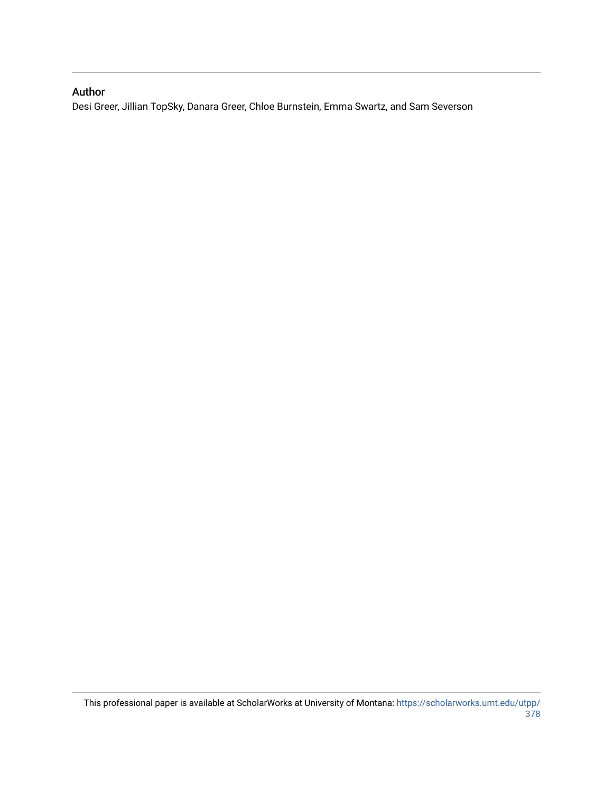#### Author

Desi Greer, Jillian TopSky, Danara Greer, Chloe Burnstein, Emma Swartz, and Sam Severson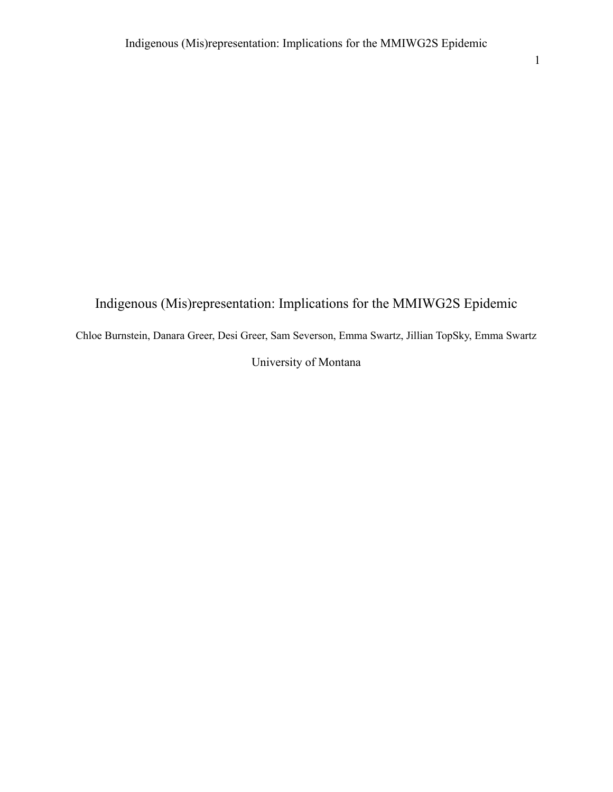# Indigenous (Mis)representation: Implications for the MMIWG2S Epidemic Chloe Burnstein, Danara Greer, Desi Greer, Sam Severson, Emma Swartz, Jillian TopSky, Emma Swartz University of Montana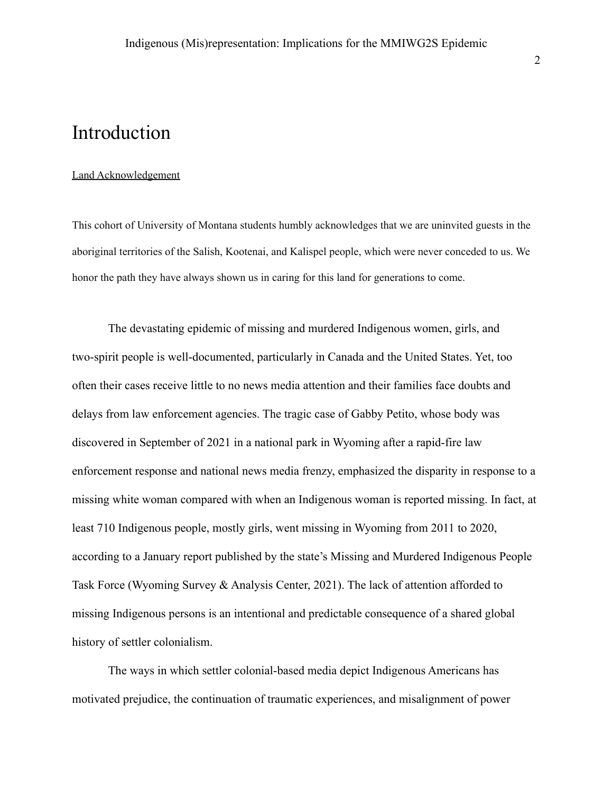### Introduction

#### Land Acknowledgement

This cohort of University of Montana students humbly acknowledges that we are uninvited guests in the aboriginal territories of the Salish, Kootenai, and Kalispel people, which were never conceded to us. We honor the path they have always shown us in caring for this land for generations to come.

The devastating epidemic of missing and murdered Indigenous women, girls, and two-spirit people is well-documented, particularly in Canada and the United States. Yet, too often their cases receive little to no news media attention and their families face doubts and delays from law enforcement agencies. The tragic case of Gabby Petito, whose body was discovered in September of 2021 in a national park in Wyoming after a rapid-fire law enforcement response and national news media frenzy, emphasized the disparity in response to a missing white woman compared with when an Indigenous woman is reported missing. In fact, at least 710 Indigenous people, mostly girls, went missing in Wyoming from 2011 to 2020, according to a January report published by the state's Missing and Murdered Indigenous People Task Force (Wyoming Survey & Analysis Center, 2021). The lack of attention afforded to missing Indigenous persons is an intentional and predictable consequence of a shared global history of settler colonialism.

The ways in which settler colonial-based media depict Indigenous Americans has motivated prejudice, the continuation of traumatic experiences, and misalignment of power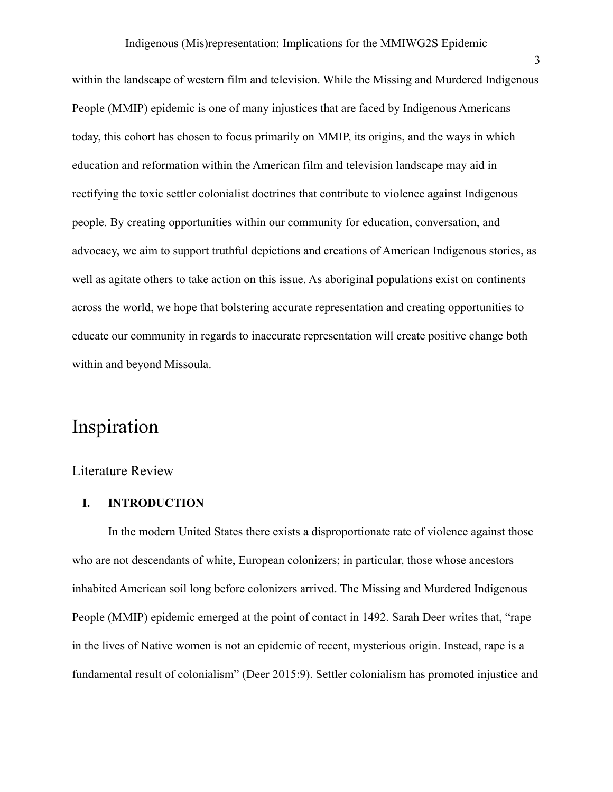within the landscape of western film and television. While the Missing and Murdered Indigenous People (MMIP) epidemic is one of many injustices that are faced by Indigenous Americans today, this cohort has chosen to focus primarily on MMIP, its origins, and the ways in which education and reformation within the American film and television landscape may aid in rectifying the toxic settler colonialist doctrines that contribute to violence against Indigenous people. By creating opportunities within our community for education, conversation, and advocacy, we aim to support truthful depictions and creations of American Indigenous stories, as well as agitate others to take action on this issue. As aboriginal populations exist on continents across the world, we hope that bolstering accurate representation and creating opportunities to educate our community in regards to inaccurate representation will create positive change both within and beyond Missoula.

### Inspiration

#### Literature Review

#### **I. INTRODUCTION**

In the modern United States there exists a disproportionate rate of violence against those who are not descendants of white, European colonizers; in particular, those whose ancestors inhabited American soil long before colonizers arrived. The Missing and Murdered Indigenous People (MMIP) epidemic emerged at the point of contact in 1492. Sarah Deer writes that, "rape in the lives of Native women is not an epidemic of recent, mysterious origin. Instead, rape is a fundamental result of colonialism" (Deer 2015:9). Settler colonialism has promoted injustice and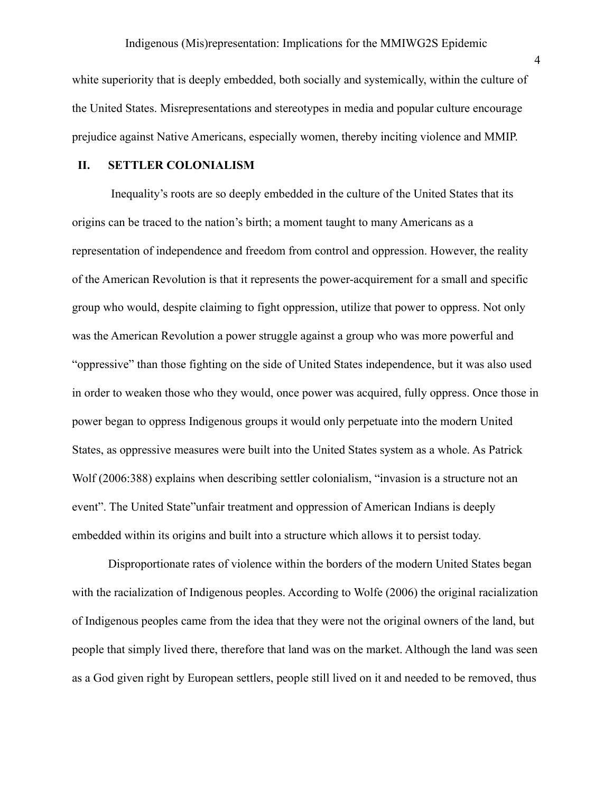white superiority that is deeply embedded, both socially and systemically, within the culture of the United States. Misrepresentations and stereotypes in media and popular culture encourage prejudice against Native Americans, especially women, thereby inciting violence and MMIP.

#### **II. SETTLER COLONIALISM**

Inequality's roots are so deeply embedded in the culture of the United States that its origins can be traced to the nation's birth; a moment taught to many Americans as a representation of independence and freedom from control and oppression. However, the reality of the American Revolution is that it represents the power-acquirement for a small and specific group who would, despite claiming to fight oppression, utilize that power to oppress. Not only was the American Revolution a power struggle against a group who was more powerful and "oppressive" than those fighting on the side of United States independence, but it was also used in order to weaken those who they would, once power was acquired, fully oppress. Once those in power began to oppress Indigenous groups it would only perpetuate into the modern United States, as oppressive measures were built into the United States system as a whole. As Patrick Wolf (2006:388) explains when describing settler colonialism, "invasion is a structure not an event". The United State"unfair treatment and oppression of American Indians is deeply embedded within its origins and built into a structure which allows it to persist today.

Disproportionate rates of violence within the borders of the modern United States began with the racialization of Indigenous peoples. According to Wolfe (2006) the original racialization of Indigenous peoples came from the idea that they were not the original owners of the land, but people that simply lived there, therefore that land was on the market. Although the land was seen as a God given right by European settlers, people still lived on it and needed to be removed, thus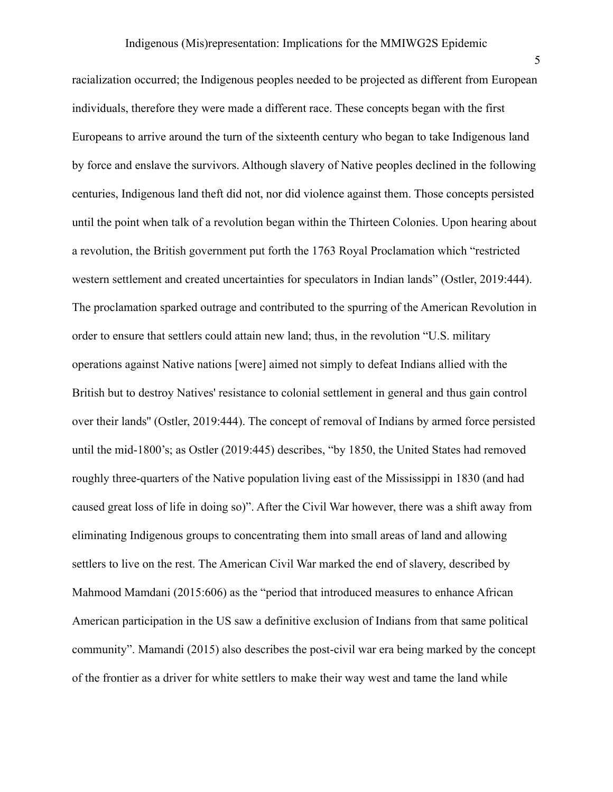racialization occurred; the Indigenous peoples needed to be projected as different from European individuals, therefore they were made a different race. These concepts began with the first Europeans to arrive around the turn of the sixteenth century who began to take Indigenous land by force and enslave the survivors. Although slavery of Native peoples declined in the following centuries, Indigenous land theft did not, nor did violence against them. Those concepts persisted until the point when talk of a revolution began within the Thirteen Colonies. Upon hearing about a revolution, the British government put forth the 1763 Royal Proclamation which "restricted western settlement and created uncertainties for speculators in Indian lands" (Ostler, 2019:444). The proclamation sparked outrage and contributed to the spurring of the American Revolution in order to ensure that settlers could attain new land; thus, in the revolution "U.S. military operations against Native nations [were] aimed not simply to defeat Indians allied with the British but to destroy Natives' resistance to colonial settlement in general and thus gain control over their lands'' (Ostler, 2019:444). The concept of removal of Indians by armed force persisted until the mid-1800's; as Ostler (2019:445) describes, "by 1850, the United States had removed roughly three-quarters of the Native population living east of the Mississippi in 1830 (and had caused great loss of life in doing so)". After the Civil War however, there was a shift away from eliminating Indigenous groups to concentrating them into small areas of land and allowing settlers to live on the rest. The American Civil War marked the end of slavery, described by Mahmood Mamdani (2015:606) as the "period that introduced measures to enhance African American participation in the US saw a definitive exclusion of Indians from that same political community". Mamandi (2015) also describes the post-civil war era being marked by the concept of the frontier as a driver for white settlers to make their way west and tame the land while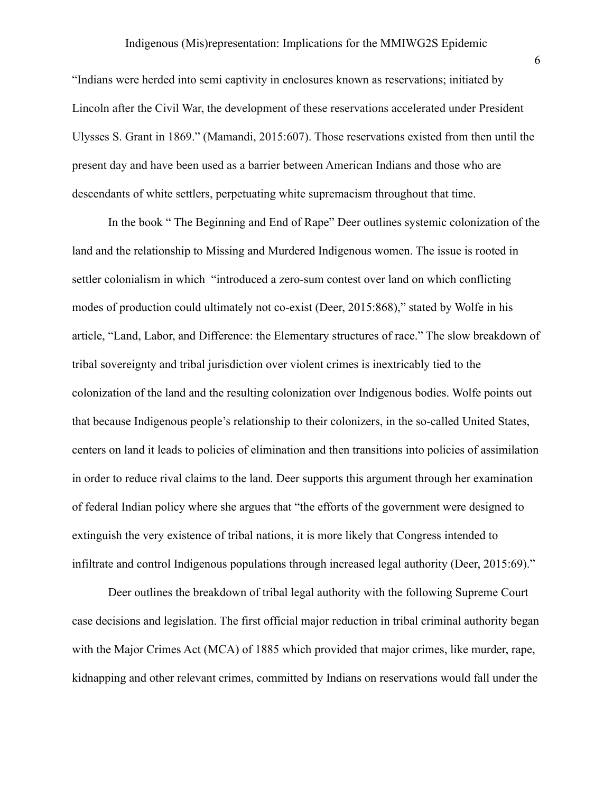#### Indigenous (Mis)representation: Implications for the MMIWG2S Epidemic

"Indians were herded into semi captivity in enclosures known as reservations; initiated by Lincoln after the Civil War, the development of these reservations accelerated under President Ulysses S. Grant in 1869." (Mamandi, 2015:607). Those reservations existed from then until the present day and have been used as a barrier between American Indians and those who are descendants of white settlers, perpetuating white supremacism throughout that time.

In the book " The Beginning and End of Rape" Deer outlines systemic colonization of the land and the relationship to Missing and Murdered Indigenous women. The issue is rooted in settler colonialism in which "introduced a zero-sum contest over land on which conflicting modes of production could ultimately not co-exist (Deer, 2015:868)," stated by Wolfe in his article, "Land, Labor, and Difference: the Elementary structures of race." The slow breakdown of tribal sovereignty and tribal jurisdiction over violent crimes is inextricably tied to the colonization of the land and the resulting colonization over Indigenous bodies. Wolfe points out that because Indigenous people's relationship to their colonizers, in the so-called United States, centers on land it leads to policies of elimination and then transitions into policies of assimilation in order to reduce rival claims to the land. Deer supports this argument through her examination of federal Indian policy where she argues that "the efforts of the government were designed to extinguish the very existence of tribal nations, it is more likely that Congress intended to infiltrate and control Indigenous populations through increased legal authority (Deer, 2015:69)."

Deer outlines the breakdown of tribal legal authority with the following Supreme Court case decisions and legislation. The first official major reduction in tribal criminal authority began with the Major Crimes Act (MCA) of 1885 which provided that major crimes, like murder, rape, kidnapping and other relevant crimes, committed by Indians on reservations would fall under the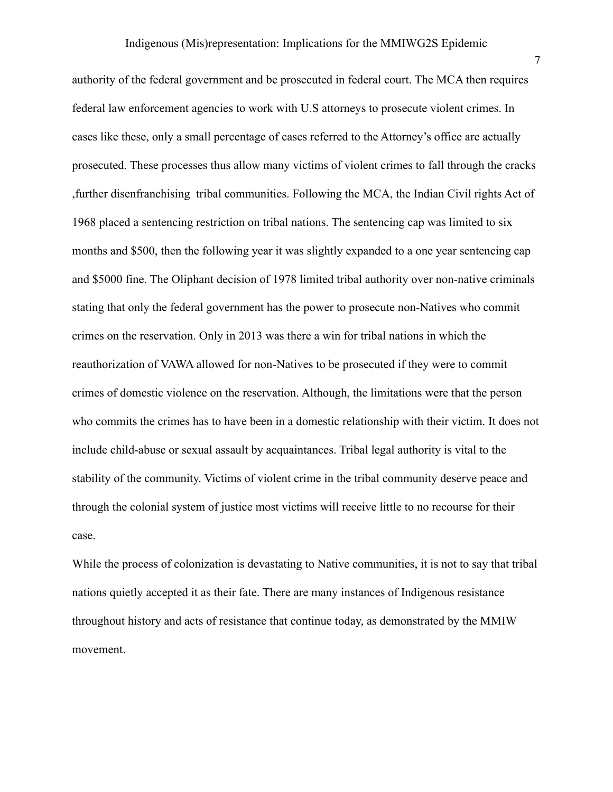authority of the federal government and be prosecuted in federal court. The MCA then requires federal law enforcement agencies to work with U.S attorneys to prosecute violent crimes. In cases like these, only a small percentage of cases referred to the Attorney's office are actually prosecuted. These processes thus allow many victims of violent crimes to fall through the cracks ,further disenfranchising tribal communities. Following the MCA, the Indian Civil rights Act of 1968 placed a sentencing restriction on tribal nations. The sentencing cap was limited to six months and \$500, then the following year it was slightly expanded to a one year sentencing cap and \$5000 fine. The Oliphant decision of 1978 limited tribal authority over non-native criminals stating that only the federal government has the power to prosecute non-Natives who commit crimes on the reservation. Only in 2013 was there a win for tribal nations in which the reauthorization of VAWA allowed for non-Natives to be prosecuted if they were to commit crimes of domestic violence on the reservation. Although, the limitations were that the person who commits the crimes has to have been in a domestic relationship with their victim. It does not include child-abuse or sexual assault by acquaintances. Tribal legal authority is vital to the stability of the community. Victims of violent crime in the tribal community deserve peace and through the colonial system of justice most victims will receive little to no recourse for their case.

While the process of colonization is devastating to Native communities, it is not to say that tribal nations quietly accepted it as their fate. There are many instances of Indigenous resistance throughout history and acts of resistance that continue today, as demonstrated by the MMIW movement.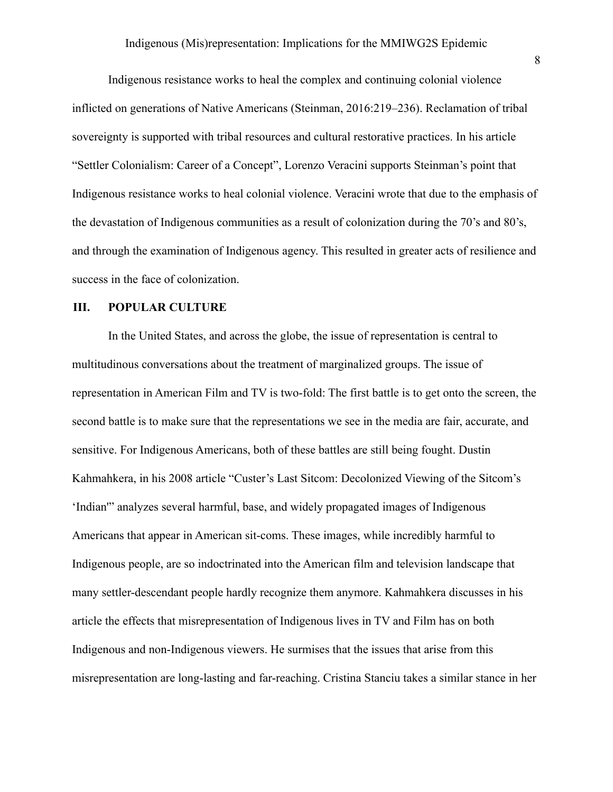Indigenous resistance works to heal the complex and continuing colonial violence inflicted on generations of Native Americans (Steinman, 2016:219–236). Reclamation of tribal sovereignty is supported with tribal resources and cultural restorative practices. In his article "Settler Colonialism: Career of a Concept", Lorenzo Veracini supports Steinman's point that Indigenous resistance works to heal colonial violence. Veracini wrote that due to the emphasis of the devastation of Indigenous communities as a result of colonization during the 70's and 80's, and through the examination of Indigenous agency. This resulted in greater acts of resilience and success in the face of colonization.

#### **III. POPULAR CULTURE**

In the United States, and across the globe, the issue of representation is central to multitudinous conversations about the treatment of marginalized groups. The issue of representation in American Film and TV is two-fold: The first battle is to get onto the screen, the second battle is to make sure that the representations we see in the media are fair, accurate, and sensitive. For Indigenous Americans, both of these battles are still being fought. Dustin Kahmahkera, in his 2008 article "Custer's Last Sitcom: Decolonized Viewing of the Sitcom's 'Indian'" analyzes several harmful, base, and widely propagated images of Indigenous Americans that appear in American sit-coms. These images, while incredibly harmful to Indigenous people, are so indoctrinated into the American film and television landscape that many settler-descendant people hardly recognize them anymore. Kahmahkera discusses in his article the effects that misrepresentation of Indigenous lives in TV and Film has on both Indigenous and non-Indigenous viewers. He surmises that the issues that arise from this misrepresentation are long-lasting and far-reaching. Cristina Stanciu takes a similar stance in her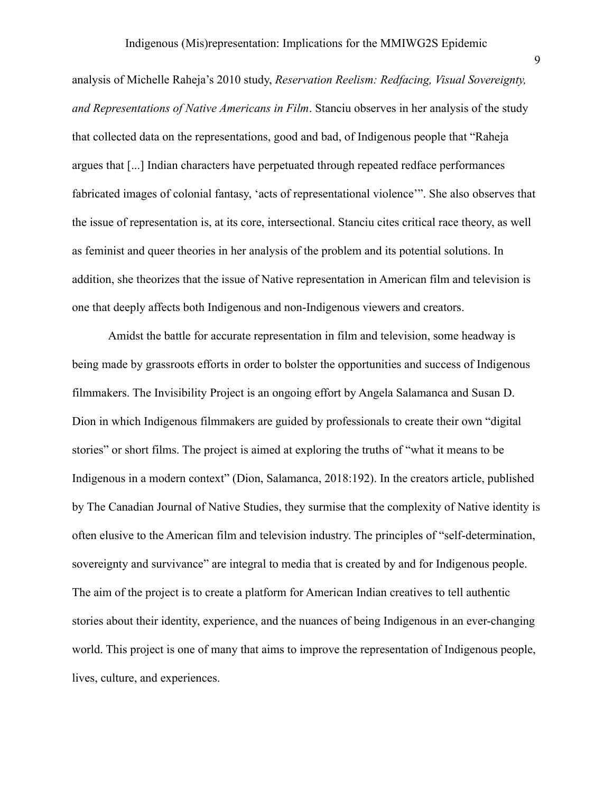analysis of Michelle Raheja's 2010 study, *Reservation Reelism: Redfacing, Visual Sovereignty, and Representations of Native Americans in Film*. Stanciu observes in her analysis of the study that collected data on the representations, good and bad, of Indigenous people that "Raheja argues that [...] Indian characters have perpetuated through repeated redface performances fabricated images of colonial fantasy, 'acts of representational violence'". She also observes that the issue of representation is, at its core, intersectional. Stanciu cites critical race theory, as well as feminist and queer theories in her analysis of the problem and its potential solutions. In addition, she theorizes that the issue of Native representation in American film and television is one that deeply affects both Indigenous and non-Indigenous viewers and creators.

Amidst the battle for accurate representation in film and television, some headway is being made by grassroots efforts in order to bolster the opportunities and success of Indigenous filmmakers. The Invisibility Project is an ongoing effort by Angela Salamanca and Susan D. Dion in which Indigenous filmmakers are guided by professionals to create their own "digital stories" or short films. The project is aimed at exploring the truths of "what it means to be Indigenous in a modern context" (Dion, Salamanca, 2018:192). In the creators article, published by The Canadian Journal of Native Studies, they surmise that the complexity of Native identity is often elusive to the American film and television industry. The principles of "self-determination, sovereignty and survivance" are integral to media that is created by and for Indigenous people. The aim of the project is to create a platform for American Indian creatives to tell authentic stories about their identity, experience, and the nuances of being Indigenous in an ever-changing world. This project is one of many that aims to improve the representation of Indigenous people, lives, culture, and experiences.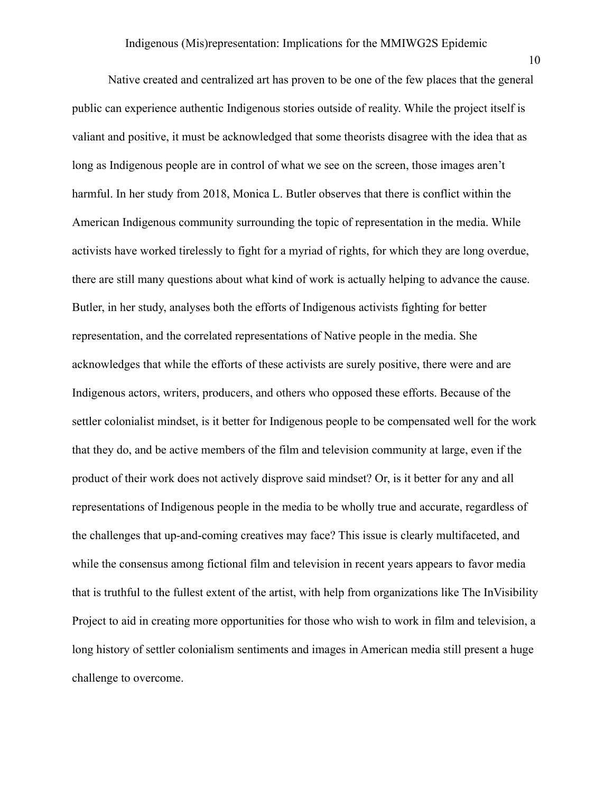Native created and centralized art has proven to be one of the few places that the general public can experience authentic Indigenous stories outside of reality. While the project itself is valiant and positive, it must be acknowledged that some theorists disagree with the idea that as long as Indigenous people are in control of what we see on the screen, those images aren't harmful. In her study from 2018, Monica L. Butler observes that there is conflict within the American Indigenous community surrounding the topic of representation in the media. While activists have worked tirelessly to fight for a myriad of rights, for which they are long overdue, there are still many questions about what kind of work is actually helping to advance the cause. Butler, in her study, analyses both the efforts of Indigenous activists fighting for better representation, and the correlated representations of Native people in the media. She acknowledges that while the efforts of these activists are surely positive, there were and are Indigenous actors, writers, producers, and others who opposed these efforts. Because of the settler colonialist mindset, is it better for Indigenous people to be compensated well for the work that they do, and be active members of the film and television community at large, even if the product of their work does not actively disprove said mindset? Or, is it better for any and all representations of Indigenous people in the media to be wholly true and accurate, regardless of the challenges that up-and-coming creatives may face? This issue is clearly multifaceted, and while the consensus among fictional film and television in recent years appears to favor media that is truthful to the fullest extent of the artist, with help from organizations like The InVisibility Project to aid in creating more opportunities for those who wish to work in film and television, a long history of settler colonialism sentiments and images in American media still present a huge challenge to overcome.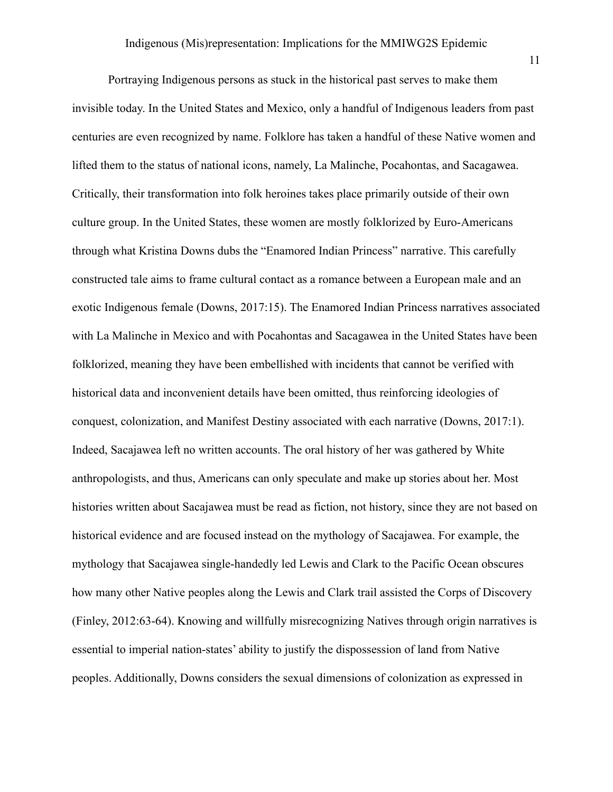Portraying Indigenous persons as stuck in the historical past serves to make them invisible today. In the United States and Mexico, only a handful of Indigenous leaders from past centuries are even recognized by name. Folklore has taken a handful of these Native women and lifted them to the status of national icons, namely, La Malinche, Pocahontas, and Sacagawea. Critically, their transformation into folk heroines takes place primarily outside of their own culture group. In the United States, these women are mostly folklorized by Euro-Americans through what Kristina Downs dubs the "Enamored Indian Princess" narrative. This carefully constructed tale aims to frame cultural contact as a romance between a European male and an exotic Indigenous female (Downs, 2017:15). The Enamored Indian Princess narratives associated with La Malinche in Mexico and with Pocahontas and Sacagawea in the United States have been folklorized, meaning they have been embellished with incidents that cannot be verified with historical data and inconvenient details have been omitted, thus reinforcing ideologies of conquest, colonization, and Manifest Destiny associated with each narrative (Downs, 2017:1). Indeed, Sacajawea left no written accounts. The oral history of her was gathered by White anthropologists, and thus, Americans can only speculate and make up stories about her. Most histories written about Sacajawea must be read as fiction, not history, since they are not based on historical evidence and are focused instead on the mythology of Sacajawea. For example, the mythology that Sacajawea single-handedly led Lewis and Clark to the Pacific Ocean obscures how many other Native peoples along the Lewis and Clark trail assisted the Corps of Discovery (Finley, 2012:63-64). Knowing and willfully misrecognizing Natives through origin narratives is essential to imperial nation-states' ability to justify the dispossession of land from Native peoples. Additionally, Downs considers the sexual dimensions of colonization as expressed in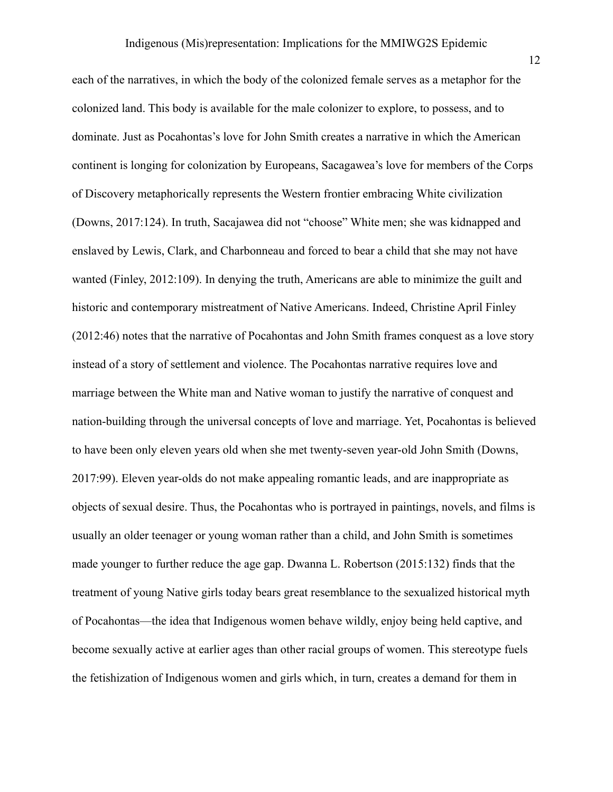each of the narratives, in which the body of the colonized female serves as a metaphor for the colonized land. This body is available for the male colonizer to explore, to possess, and to dominate. Just as Pocahontas's love for John Smith creates a narrative in which the American continent is longing for colonization by Europeans, Sacagawea's love for members of the Corps of Discovery metaphorically represents the Western frontier embracing White civilization (Downs, 2017:124). In truth, Sacajawea did not "choose" White men; she was kidnapped and enslaved by Lewis, Clark, and Charbonneau and forced to bear a child that she may not have wanted (Finley, 2012:109). In denying the truth, Americans are able to minimize the guilt and historic and contemporary mistreatment of Native Americans. Indeed, Christine April Finley (2012:46) notes that the narrative of Pocahontas and John Smith frames conquest as a love story instead of a story of settlement and violence. The Pocahontas narrative requires love and marriage between the White man and Native woman to justify the narrative of conquest and nation-building through the universal concepts of love and marriage. Yet, Pocahontas is believed to have been only eleven years old when she met twenty-seven year-old John Smith (Downs, 2017:99). Eleven year-olds do not make appealing romantic leads, and are inappropriate as objects of sexual desire. Thus, the Pocahontas who is portrayed in paintings, novels, and films is usually an older teenager or young woman rather than a child, and John Smith is sometimes made younger to further reduce the age gap. Dwanna L. Robertson (2015:132) finds that the treatment of young Native girls today bears great resemblance to the sexualized historical myth of Pocahontas—the idea that Indigenous women behave wildly, enjoy being held captive, and become sexually active at earlier ages than other racial groups of women. This stereotype fuels the fetishization of Indigenous women and girls which, in turn, creates a demand for them in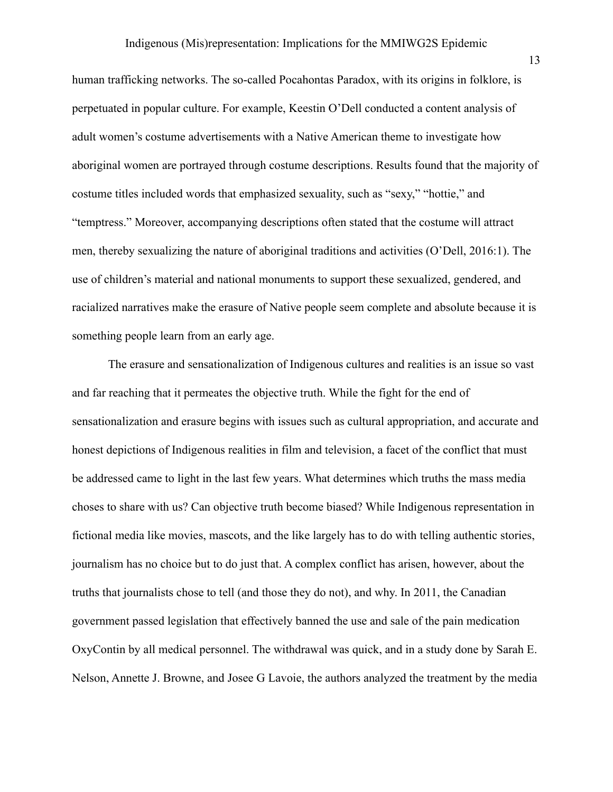#### Indigenous (Mis)representation: Implications for the MMIWG2S Epidemic

human trafficking networks. The so-called Pocahontas Paradox, with its origins in folklore, is perpetuated in popular culture. For example, Keestin O'Dell conducted a content analysis of adult women's costume advertisements with a Native American theme to investigate how aboriginal women are portrayed through costume descriptions. Results found that the majority of costume titles included words that emphasized sexuality, such as "sexy," "hottie," and "temptress." Moreover, accompanying descriptions often stated that the costume will attract men, thereby sexualizing the nature of aboriginal traditions and activities (O'Dell, 2016:1). The use of children's material and national monuments to support these sexualized, gendered, and racialized narratives make the erasure of Native people seem complete and absolute because it is something people learn from an early age.

The erasure and sensationalization of Indigenous cultures and realities is an issue so vast and far reaching that it permeates the objective truth. While the fight for the end of sensationalization and erasure begins with issues such as cultural appropriation, and accurate and honest depictions of Indigenous realities in film and television, a facet of the conflict that must be addressed came to light in the last few years. What determines which truths the mass media choses to share with us? Can objective truth become biased? While Indigenous representation in fictional media like movies, mascots, and the like largely has to do with telling authentic stories, journalism has no choice but to do just that. A complex conflict has arisen, however, about the truths that journalists chose to tell (and those they do not), and why. In 2011, the Canadian government passed legislation that effectively banned the use and sale of the pain medication OxyContin by all medical personnel. The withdrawal was quick, and in a study done by Sarah E. Nelson, Annette J. Browne, and Josee G Lavoie, the authors analyzed the treatment by the media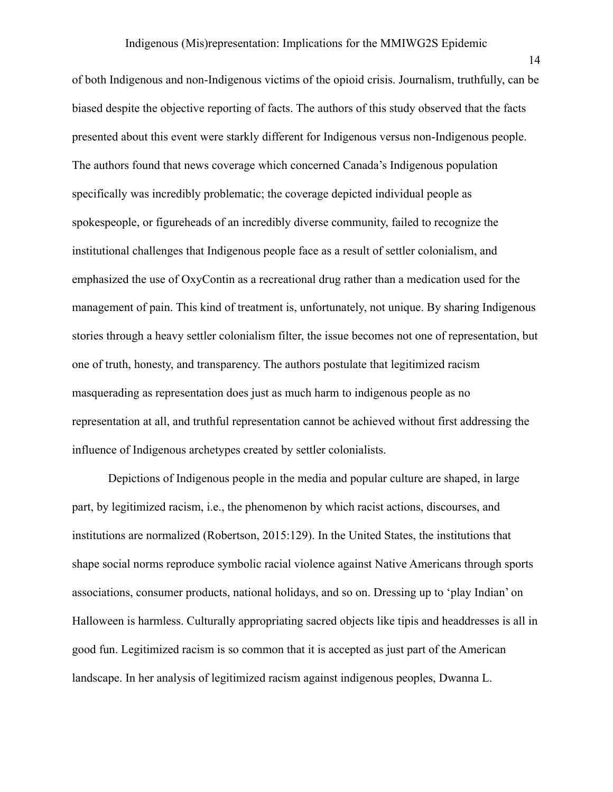of both Indigenous and non-Indigenous victims of the opioid crisis. Journalism, truthfully, can be biased despite the objective reporting of facts. The authors of this study observed that the facts presented about this event were starkly different for Indigenous versus non-Indigenous people. The authors found that news coverage which concerned Canada's Indigenous population specifically was incredibly problematic; the coverage depicted individual people as spokespeople, or figureheads of an incredibly diverse community, failed to recognize the institutional challenges that Indigenous people face as a result of settler colonialism, and emphasized the use of OxyContin as a recreational drug rather than a medication used for the management of pain. This kind of treatment is, unfortunately, not unique. By sharing Indigenous stories through a heavy settler colonialism filter, the issue becomes not one of representation, but one of truth, honesty, and transparency. The authors postulate that legitimized racism masquerading as representation does just as much harm to indigenous people as no representation at all, and truthful representation cannot be achieved without first addressing the influence of Indigenous archetypes created by settler colonialists.

Depictions of Indigenous people in the media and popular culture are shaped, in large part, by legitimized racism, i.e., the phenomenon by which racist actions, discourses, and institutions are normalized (Robertson, 2015:129). In the United States, the institutions that shape social norms reproduce symbolic racial violence against Native Americans through sports associations, consumer products, national holidays, and so on. Dressing up to 'play Indian' on Halloween is harmless. Culturally appropriating sacred objects like tipis and headdresses is all in good fun. Legitimized racism is so common that it is accepted as just part of the American landscape. In her analysis of legitimized racism against indigenous peoples, Dwanna L.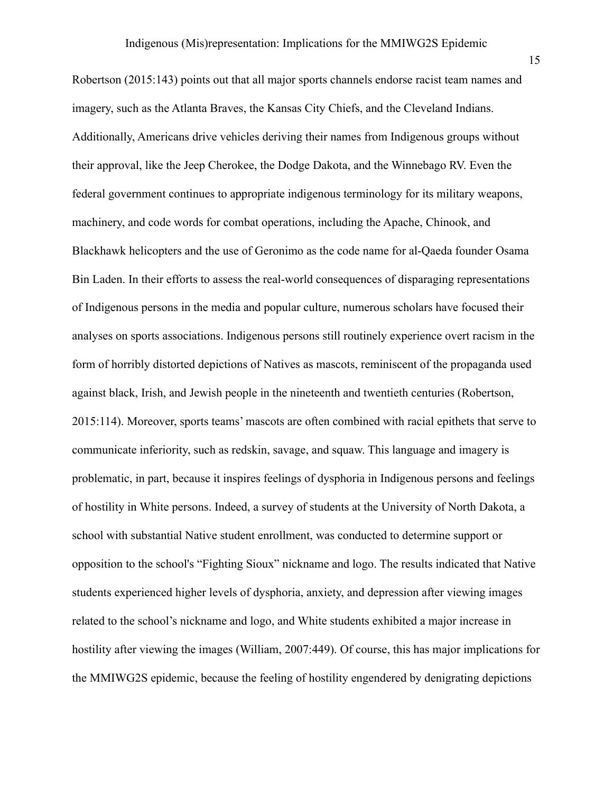Robertson (2015:143) points out that all major sports channels endorse racist team names and imagery, such as the Atlanta Braves, the Kansas City Chiefs, and the Cleveland Indians. Additionally, Americans drive vehicles deriving their names from Indigenous groups without their approval, like the Jeep Cherokee, the Dodge Dakota, and the Winnebago RV. Even the federal government continues to appropriate indigenous terminology for its military weapons, machinery, and code words for combat operations, including the Apache, Chinook, and Blackhawk helicopters and the use of Geronimo as the code name for al-Qaeda founder Osama Bin Laden. In their efforts to assess the real-world consequences of disparaging representations of Indigenous persons in the media and popular culture, numerous scholars have focused their analyses on sports associations. Indigenous persons still routinely experience overt racism in the form of horribly distorted depictions of Natives as mascots, reminiscent of the propaganda used against black, Irish, and Jewish people in the nineteenth and twentieth centuries (Robertson, 2015:114). Moreover, sports teams' mascots are often combined with racial epithets that serve to communicate inferiority, such as redskin, savage, and squaw. This language and imagery is problematic, in part, because it inspires feelings of dysphoria in Indigenous persons and feelings of hostility in White persons. Indeed, a survey of students at the University of North Dakota, a school with substantial Native student enrollment, was conducted to determine support or opposition to the school's "Fighting Sioux" nickname and logo. The results indicated that Native students experienced higher levels of dysphoria, anxiety, and depression after viewing images related to the school's nickname and logo, and White students exhibited a major increase in hostility after viewing the images (William, 2007:449). Of course, this has major implications for the MMIWG2S epidemic, because the feeling of hostility engendered by denigrating depictions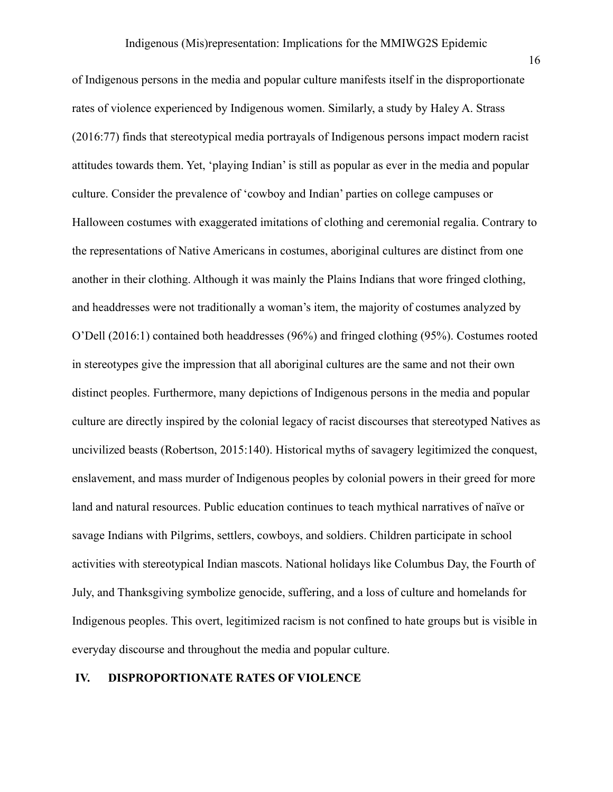of Indigenous persons in the media and popular culture manifests itself in the disproportionate rates of violence experienced by Indigenous women. Similarly, a study by Haley A. Strass (2016:77) finds that stereotypical media portrayals of Indigenous persons impact modern racist attitudes towards them. Yet, 'playing Indian' is still as popular as ever in the media and popular culture. Consider the prevalence of 'cowboy and Indian' parties on college campuses or Halloween costumes with exaggerated imitations of clothing and ceremonial regalia. Contrary to the representations of Native Americans in costumes, aboriginal cultures are distinct from one another in their clothing. Although it was mainly the Plains Indians that wore fringed clothing, and headdresses were not traditionally a woman's item, the majority of costumes analyzed by O'Dell (2016:1) contained both headdresses (96%) and fringed clothing (95%). Costumes rooted in stereotypes give the impression that all aboriginal cultures are the same and not their own distinct peoples. Furthermore, many depictions of Indigenous persons in the media and popular culture are directly inspired by the colonial legacy of racist discourses that stereotyped Natives as uncivilized beasts (Robertson, 2015:140). Historical myths of savagery legitimized the conquest, enslavement, and mass murder of Indigenous peoples by colonial powers in their greed for more land and natural resources. Public education continues to teach mythical narratives of naïve or savage Indians with Pilgrims, settlers, cowboys, and soldiers. Children participate in school activities with stereotypical Indian mascots. National holidays like Columbus Day, the Fourth of July, and Thanksgiving symbolize genocide, suffering, and a loss of culture and homelands for Indigenous peoples. This overt, legitimized racism is not confined to hate groups but is visible in everyday discourse and throughout the media and popular culture.

#### **IV. DISPROPORTIONATE RATES OF VIOLENCE**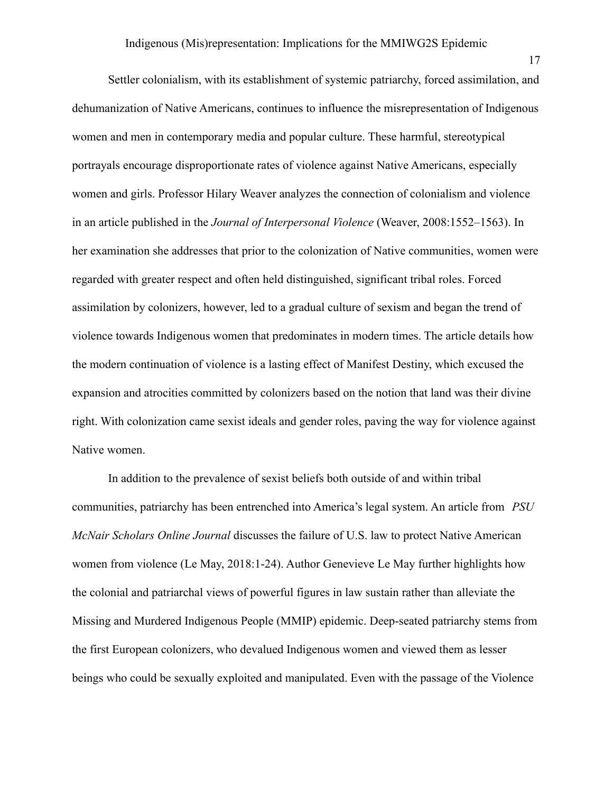Settler colonialism, with its establishment of systemic patriarchy, forced assimilation, and dehumanization of Native Americans, continues to influence the misrepresentation of Indigenous women and men in contemporary media and popular culture. These harmful, stereotypical portrayals encourage disproportionate rates of violence against Native Americans, especially women and girls. Professor Hilary Weaver analyzes the connection of colonialism and violence in an article published in the *Journal of Interpersonal Violence* (Weaver, 2008:1552–1563). In her examination she addresses that prior to the colonization of Native communities, women were regarded with greater respect and often held distinguished, significant tribal roles. Forced assimilation by colonizers, however, led to a gradual culture of sexism and began the trend of violence towards Indigenous women that predominates in modern times. The article details how the modern continuation of violence is a lasting effect of Manifest Destiny, which excused the expansion and atrocities committed by colonizers based on the notion that land was their divine right. With colonization came sexist ideals and gender roles, paving the way for violence against Native women.

In addition to the prevalence of sexist beliefs both outside of and within tribal communities, patriarchy has been entrenched into America's legal system. An article from *PSU McNair Scholars Online Journal* discusses the failure of U.S. law to protect Native American women from violence (Le May, 2018:1-24). Author Genevieve Le May further highlights how the colonial and patriarchal views of powerful figures in law sustain rather than alleviate the Missing and Murdered Indigenous People (MMIP) epidemic. Deep-seated patriarchy stems from the first European colonizers, who devalued Indigenous women and viewed them as lesser beings who could be sexually exploited and manipulated. Even with the passage of the Violence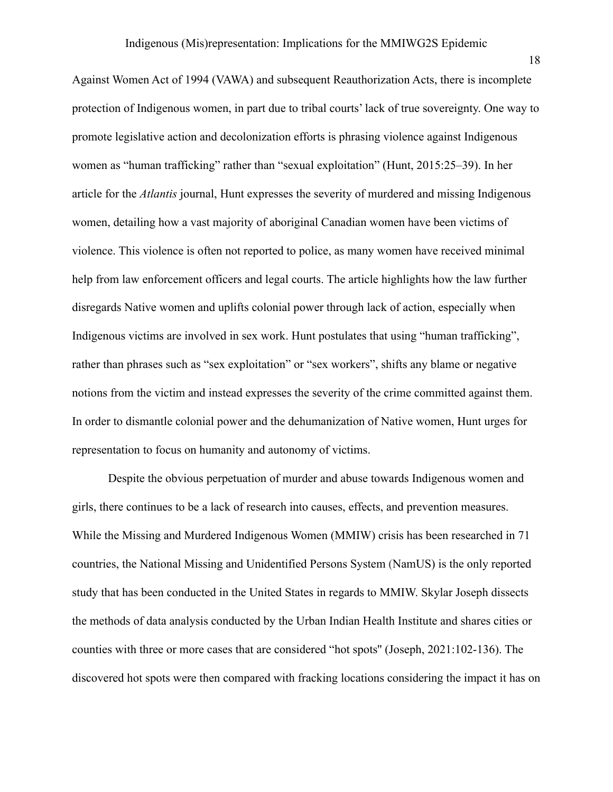Against Women Act of 1994 (VAWA) and subsequent Reauthorization Acts, there is incomplete protection of Indigenous women, in part due to tribal courts' lack of true sovereignty. One way to promote legislative action and decolonization efforts is phrasing violence against Indigenous women as "human trafficking" rather than "sexual exploitation" (Hunt, 2015:25–39). In her article for the *Atlantis* journal, Hunt expresses the severity of murdered and missing Indigenous women, detailing how a vast majority of aboriginal Canadian women have been victims of violence. This violence is often not reported to police, as many women have received minimal help from law enforcement officers and legal courts. The article highlights how the law further disregards Native women and uplifts colonial power through lack of action, especially when Indigenous victims are involved in sex work. Hunt postulates that using "human trafficking", rather than phrases such as "sex exploitation" or "sex workers", shifts any blame or negative notions from the victim and instead expresses the severity of the crime committed against them. In order to dismantle colonial power and the dehumanization of Native women, Hunt urges for representation to focus on humanity and autonomy of victims.

Despite the obvious perpetuation of murder and abuse towards Indigenous women and girls, there continues to be a lack of research into causes, effects, and prevention measures. While the Missing and Murdered Indigenous Women (MMIW) crisis has been researched in 71 countries, the National Missing and Unidentified Persons System (NamUS) is the only reported study that has been conducted in the United States in regards to MMIW. Skylar Joseph dissects the methods of data analysis conducted by the Urban Indian Health Institute and shares cities or counties with three or more cases that are considered "hot spots'' (Joseph, 2021:102-136). The discovered hot spots were then compared with fracking locations considering the impact it has on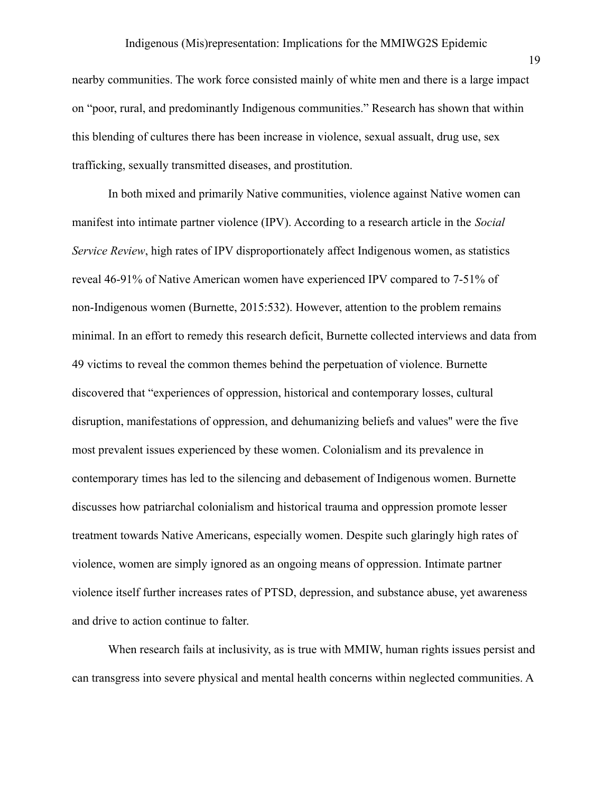nearby communities. The work force consisted mainly of white men and there is a large impact on "poor, rural, and predominantly Indigenous communities." Research has shown that within this blending of cultures there has been increase in violence, sexual assualt, drug use, sex trafficking, sexually transmitted diseases, and prostitution.

In both mixed and primarily Native communities, violence against Native women can manifest into intimate partner violence (IPV). According to a research article in the *Social Service Review*, high rates of IPV disproportionately affect Indigenous women, as statistics reveal 46-91% of Native American women have experienced IPV compared to 7-51% of non-Indigenous women (Burnette, 2015:532). However, attention to the problem remains minimal. In an effort to remedy this research deficit, Burnette collected interviews and data from 49 victims to reveal the common themes behind the perpetuation of violence. Burnette discovered that "experiences of oppression, historical and contemporary losses, cultural disruption, manifestations of oppression, and dehumanizing beliefs and values'' were the five most prevalent issues experienced by these women. Colonialism and its prevalence in contemporary times has led to the silencing and debasement of Indigenous women. Burnette discusses how patriarchal colonialism and historical trauma and oppression promote lesser treatment towards Native Americans, especially women. Despite such glaringly high rates of violence, women are simply ignored as an ongoing means of oppression. Intimate partner violence itself further increases rates of PTSD, depression, and substance abuse, yet awareness and drive to action continue to falter.

When research fails at inclusivity, as is true with MMIW, human rights issues persist and can transgress into severe physical and mental health concerns within neglected communities. A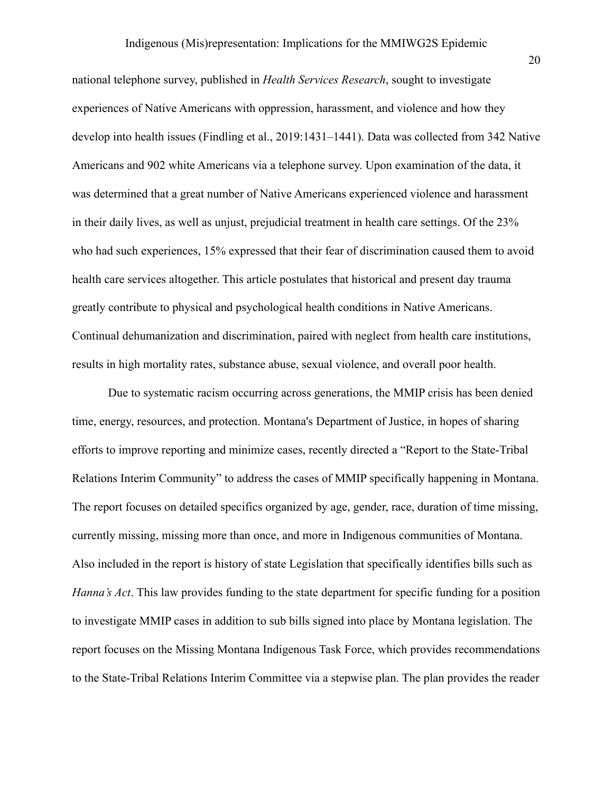national telephone survey, published in *Health Services Research*, sought to investigate experiences of Native Americans with oppression, harassment, and violence and how they develop into health issues (Findling et al., 2019:1431–1441). Data was collected from 342 Native Americans and 902 white Americans via a telephone survey. Upon examination of the data, it was determined that a great number of Native Americans experienced violence and harassment in their daily lives, as well as unjust, prejudicial treatment in health care settings. Of the 23% who had such experiences, 15% expressed that their fear of discrimination caused them to avoid health care services altogether. This article postulates that historical and present day trauma greatly contribute to physical and psychological health conditions in Native Americans. Continual dehumanization and discrimination, paired with neglect from health care institutions, results in high mortality rates, substance abuse, sexual violence, and overall poor health.

Due to systematic racism occurring across generations, the MMIP crisis has been denied time, energy, resources, and protection. Montana's Department of Justice, in hopes of sharing efforts to improve reporting and minimize cases, recently directed a "Report to the State-Tribal Relations Interim Community" to address the cases of MMIP specifically happening in Montana. The report focuses on detailed specifics organized by age, gender, race, duration of time missing, currently missing, missing more than once, and more in Indigenous communities of Montana. Also included in the report is history of state Legislation that specifically identifies bills such as *Hanna's Act*. This law provides funding to the state department for specific funding for a position to investigate MMIP cases in addition to sub bills signed into place by Montana legislation. The report focuses on the Missing Montana Indigenous Task Force, which provides recommendations to the State-Tribal Relations Interim Committee via a stepwise plan. The plan provides the reader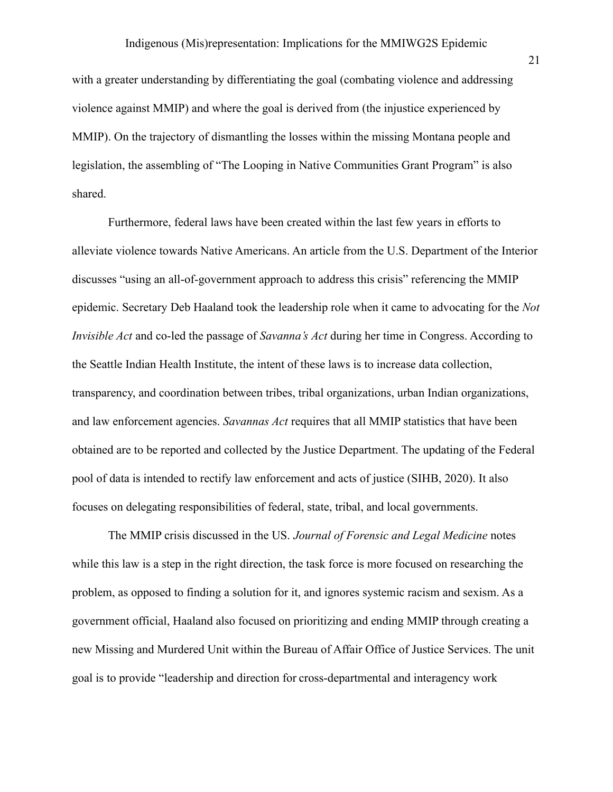with a greater understanding by differentiating the goal (combating violence and addressing violence against MMIP) and where the goal is derived from (the injustice experienced by MMIP). On the trajectory of dismantling the losses within the missing Montana people and legislation, the assembling of "The Looping in Native Communities Grant Program" is also shared.

Furthermore, federal laws have been created within the last few years in efforts to alleviate violence towards Native Americans. An article from the U.S. Department of the Interior discusses "using an all-of-government approach to address this crisis" referencing the MMIP epidemic. Secretary Deb Haaland took the leadership role when it came to advocating for the *Not Invisible Act* and co-led the passage of *[Savanna's](https://www.bia.gov/sites/bia.gov/files/assets/as-ia/ofpsm/BILLS-116s227es.pdf) Act* during her time in Congress. According to the Seattle Indian Health Institute, the intent of these laws is to increase data collection, transparency, and coordination between tribes, tribal organizations, urban Indian organizations, and law enforcement agencies. *Savannas Act* requires that all MMIP statistics that have been obtained are to be reported and collected by the Justice Department. The updating of the Federal pool of data is intended to rectify law enforcement and acts of justice (SIHB, 2020). It also focuses on delegating responsibilities of federal, state, tribal, and local governments.

The MMIP crisis discussed in the US. *Journal of Forensic and Legal Medicine* notes while this law is a step in the right direction, the task force is more focused on researching the problem, as opposed to finding a solution for it, and ignores systemic racism and sexism. As a government official, Haaland also focused on prioritizing and ending MMIP through creating a new Missing and Murdered Unit within the Bureau of Affair Office of Justice Services. The unit goal is to provide "leadership and direction for cross-departmental and interagency work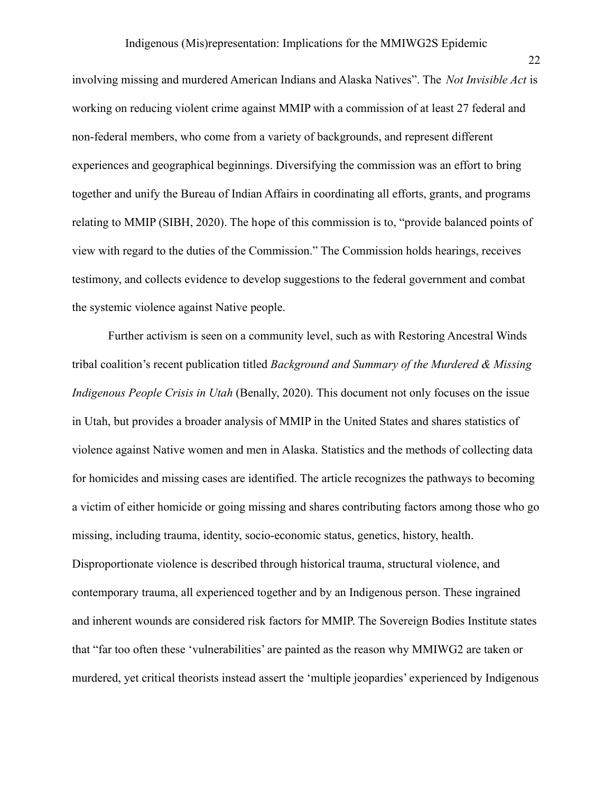involving missing and murdered American Indians and Alaska Natives". The *Not Invisible Act* is working on reducing violent crime against MMIP with a commission of at least 27 federal and non-federal members, who come from a variety of backgrounds, and represent different experiences and geographical beginnings. Diversifying the commission was an effort to bring together and unify the Bureau of Indian Affairs in coordinating all efforts, grants, and programs relating to MMIP (SIBH, 2020). The hope of this commission is to, "provide balanced points of view with regard to the duties of the Commission." The Commission holds hearings, receives testimony, and collects evidence to develop suggestions to the federal government and combat the systemic violence against Native people.

Further activism is seen on a community level, such as with Restoring Ancestral Winds tribal coalition's recent publication titled *Background and Summary of the Murdered & Missing Indigenous People Crisis in Utah* (Benally, 2020). This document not only focuses on the issue in Utah, but provides a broader analysis of MMIP in the United States and shares statistics of violence against Native women and men in Alaska. Statistics and the methods of collecting data for homicides and missing cases are identified. The article recognizes the pathways to becoming a victim of either homicide or going missing and shares contributing factors among those who go missing, including trauma, identity, socio-economic status, genetics, history, health. Disproportionate violence is described through historical trauma, structural violence, and contemporary trauma, all experienced together and by an Indigenous person. These ingrained and inherent wounds are considered risk factors for MMIP. The Sovereign Bodies Institute states that "far too often these 'vulnerabilities' are painted as the reason why MMIWG2 are taken or murdered, yet critical theorists instead assert the 'multiple jeopardies' experienced by Indigenous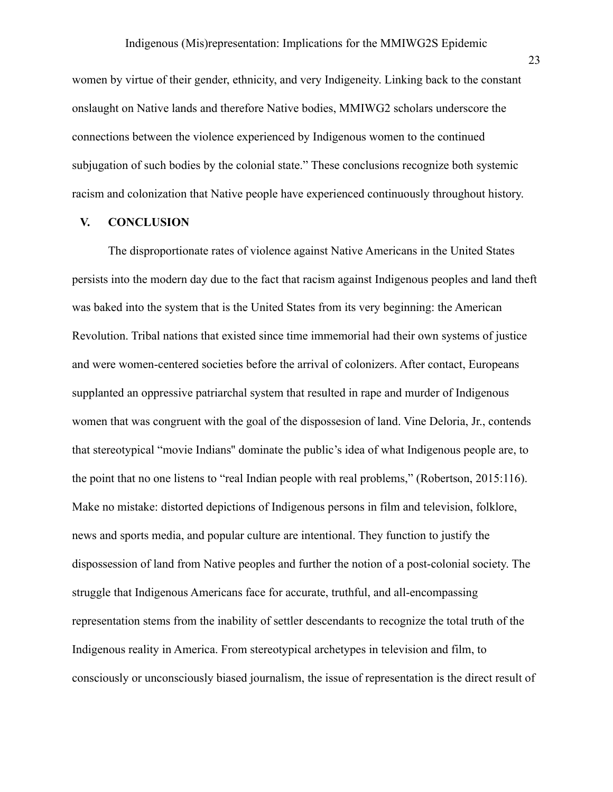women by virtue of their gender, ethnicity, and very Indigeneity. Linking back to the constant onslaught on Native lands and therefore Native bodies, MMIWG2 scholars underscore the connections between the violence experienced by Indigenous women to the continued subjugation of such bodies by the colonial state." These conclusions recognize both systemic racism and colonization that Native people have experienced continuously throughout history.

#### **V. CONCLUSION**

The disproportionate rates of violence against Native Americans in the United States persists into the modern day due to the fact that racism against Indigenous peoples and land theft was baked into the system that is the United States from its very beginning: the American Revolution. Tribal nations that existed since time immemorial had their own systems of justice and were women-centered societies before the arrival of colonizers. After contact, Europeans supplanted an oppressive patriarchal system that resulted in rape and murder of Indigenous women that was congruent with the goal of the dispossesion of land. Vine Deloria, Jr., contends that stereotypical "movie Indians'' dominate the public's idea of what Indigenous people are, to the point that no one listens to "real Indian people with real problems," (Robertson, 2015:116). Make no mistake: distorted depictions of Indigenous persons in film and television, folklore, news and sports media, and popular culture are intentional. They function to justify the dispossession of land from Native peoples and further the notion of a post-colonial society. The struggle that Indigenous Americans face for accurate, truthful, and all-encompassing representation stems from the inability of settler descendants to recognize the total truth of the Indigenous reality in America. From stereotypical archetypes in television and film, to consciously or unconsciously biased journalism, the issue of representation is the direct result of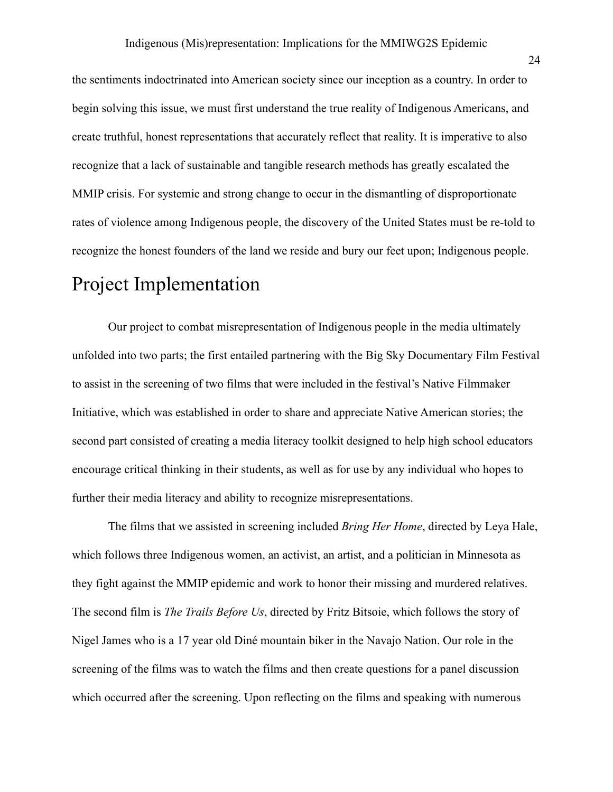the sentiments indoctrinated into American society since our inception as a country. In order to begin solving this issue, we must first understand the true reality of Indigenous Americans, and create truthful, honest representations that accurately reflect that reality. It is imperative to also recognize that a lack of sustainable and tangible research methods has greatly escalated the MMIP crisis. For systemic and strong change to occur in the dismantling of disproportionate rates of violence among Indigenous people, the discovery of the United States must be re-told to recognize the honest founders of the land we reside and bury our feet upon; Indigenous people.

# Project Implementation

Our project to combat misrepresentation of Indigenous people in the media ultimately unfolded into two parts; the first entailed partnering with the Big Sky Documentary Film Festival to assist in the screening of two films that were included in the festival's Native Filmmaker Initiative, which was established in order to share and appreciate Native American stories; the second part consisted of creating a media literacy toolkit designed to help high school educators encourage critical thinking in their students, as well as for use by any individual who hopes to further their media literacy and ability to recognize misrepresentations.

The films that we assisted in screening included *Bring Her Home*, directed by Leya Hale, which follows three Indigenous women, an activist, an artist, and a politician in Minnesota as they fight against the MMIP epidemic and work to honor their missing and murdered relatives. The second film is *The Trails Before Us*, directed by Fritz Bitsoie, which follows the story of Nigel James who is a 17 year old Diné mountain biker in the Navajo Nation. Our role in the screening of the films was to watch the films and then create questions for a panel discussion which occurred after the screening. Upon reflecting on the films and speaking with numerous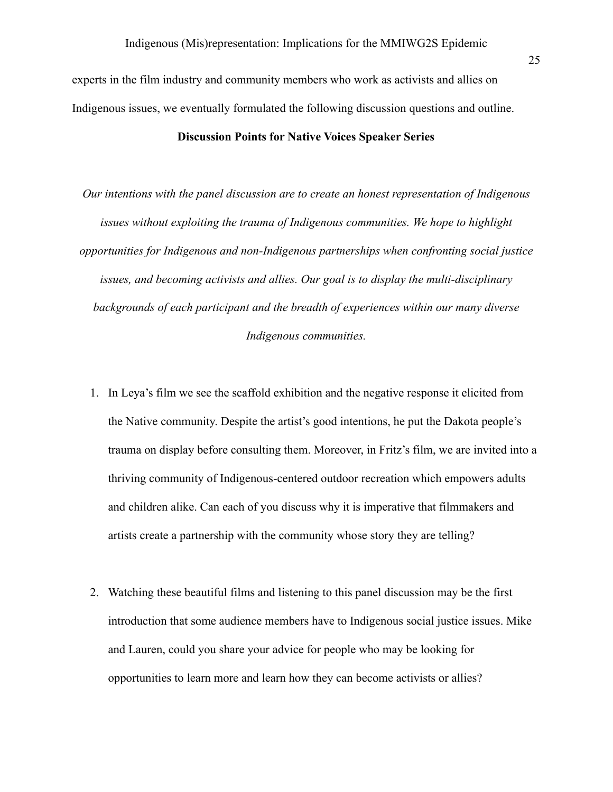experts in the film industry and community members who work as activists and allies on Indigenous issues, we eventually formulated the following discussion questions and outline.

#### **Discussion Points for Native Voices Speaker Series**

*Our intentions with the panel discussion are to create an honest representation of Indigenous issues without exploiting the trauma of Indigenous communities. We hope to highlight opportunities for Indigenous and non-Indigenous partnerships when confronting social justice issues, and becoming activists and allies. Our goal is to display the multi-disciplinary backgrounds of each participant and the breadth of experiences within our many diverse Indigenous communities.*

- 1. In Leya's film we see the scaffold exhibition and the negative response it elicited from the Native community. Despite the artist's good intentions, he put the Dakota people's trauma on display before consulting them. Moreover, in Fritz's film, we are invited into a thriving community of Indigenous-centered outdoor recreation which empowers adults and children alike. Can each of you discuss why it is imperative that filmmakers and artists create a partnership with the community whose story they are telling?
- 2. Watching these beautiful films and listening to this panel discussion may be the first introduction that some audience members have to Indigenous social justice issues. Mike and Lauren, could you share your advice for people who may be looking for opportunities to learn more and learn how they can become activists or allies?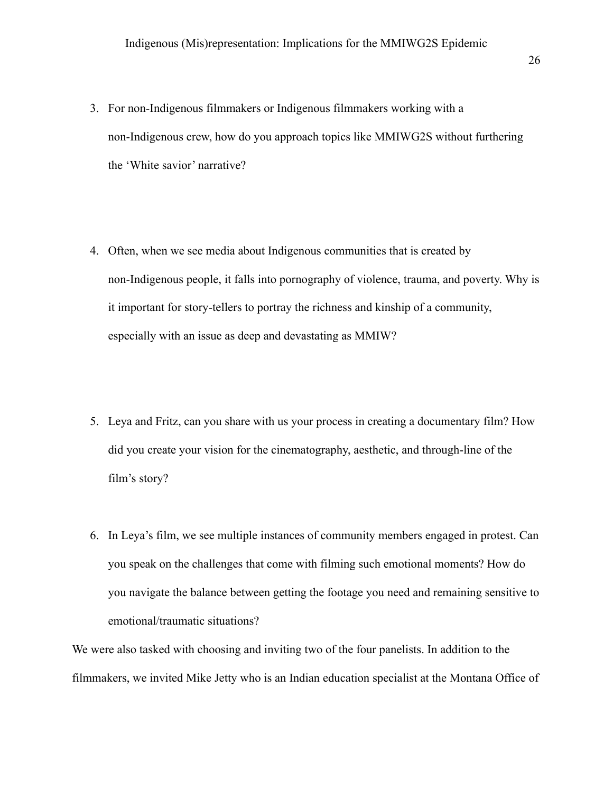- 3. For non-Indigenous filmmakers or Indigenous filmmakers working with a non-Indigenous crew, how do you approach topics like MMIWG2S without furthering the 'White savior' narrative?
- 4. Often, when we see media about Indigenous communities that is created by non-Indigenous people, it falls into pornography of violence, trauma, and poverty. Why is it important for story-tellers to portray the richness and kinship of a community, especially with an issue as deep and devastating as MMIW?
- 5. Leya and Fritz, can you share with us your process in creating a documentary film? How did you create your vision for the cinematography, aesthetic, and through-line of the film's story?
- 6. In Leya's film, we see multiple instances of community members engaged in protest. Can you speak on the challenges that come with filming such emotional moments? How do you navigate the balance between getting the footage you need and remaining sensitive to emotional/traumatic situations?

We were also tasked with choosing and inviting two of the four panelists. In addition to the filmmakers, we invited Mike Jetty who is an Indian education specialist at the Montana Office of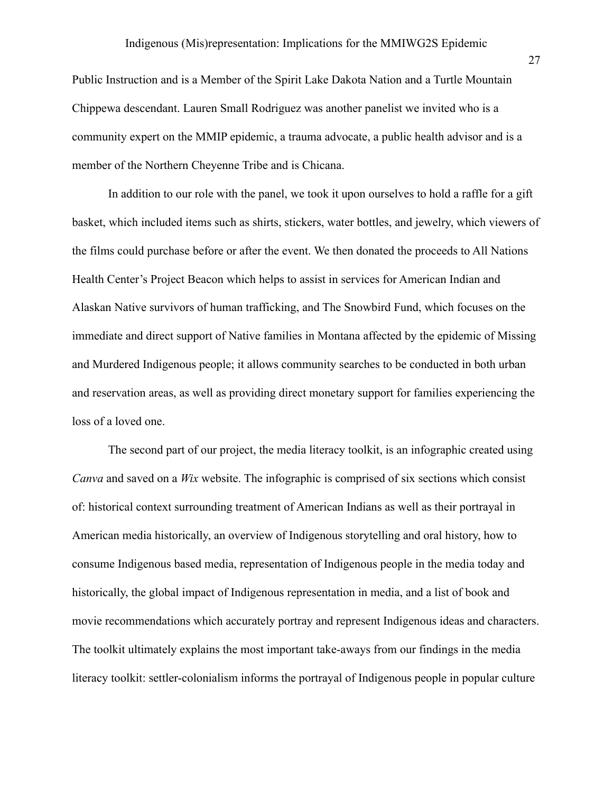Public Instruction and is a Member of the Spirit Lake Dakota Nation and a Turtle Mountain Chippewa descendant. Lauren Small Rodriguez was another panelist we invited who is a community expert on the MMIP epidemic, a trauma advocate, a public health advisor and is a member of the Northern Cheyenne Tribe and is Chicana.

In addition to our role with the panel, we took it upon ourselves to hold a raffle for a gift basket, which included items such as shirts, stickers, water bottles, and jewelry, which viewers of the films could purchase before or after the event. We then donated the proceeds to All Nations Health Center's Project Beacon which helps to assist in services for American Indian and Alaskan Native survivors of human trafficking, and The Snowbird Fund, which focuses on the immediate and direct support of Native families in Montana affected by the epidemic of Missing and Murdered Indigenous people; it allows community searches to be conducted in both urban and reservation areas, as well as providing direct monetary support for families experiencing the loss of a loved one.

The second part of our project, the media literacy toolkit, is an infographic created using *Canva* and saved on a *Wix* website. The infographic is comprised of six sections which consist of: historical context surrounding treatment of American Indians as well as their portrayal in American media historically, an overview of Indigenous storytelling and oral history, how to consume Indigenous based media, representation of Indigenous people in the media today and historically, the global impact of Indigenous representation in media, and a list of book and movie recommendations which accurately portray and represent Indigenous ideas and characters. The toolkit ultimately explains the most important take-aways from our findings in the media literacy toolkit: settler-colonialism informs the portrayal of Indigenous people in popular culture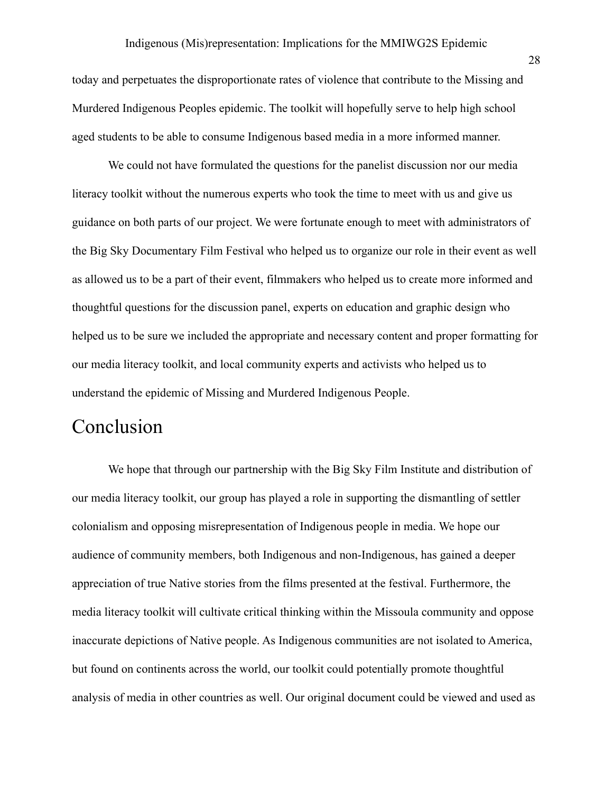today and perpetuates the disproportionate rates of violence that contribute to the Missing and Murdered Indigenous Peoples epidemic. The toolkit will hopefully serve to help high school aged students to be able to consume Indigenous based media in a more informed manner.

We could not have formulated the questions for the panelist discussion nor our media literacy toolkit without the numerous experts who took the time to meet with us and give us guidance on both parts of our project. We were fortunate enough to meet with administrators of the Big Sky Documentary Film Festival who helped us to organize our role in their event as well as allowed us to be a part of their event, filmmakers who helped us to create more informed and thoughtful questions for the discussion panel, experts on education and graphic design who helped us to be sure we included the appropriate and necessary content and proper formatting for our media literacy toolkit, and local community experts and activists who helped us to understand the epidemic of Missing and Murdered Indigenous People.

### Conclusion

We hope that through our partnership with the Big Sky Film Institute and distribution of our media literacy toolkit, our group has played a role in supporting the dismantling of settler colonialism and opposing misrepresentation of Indigenous people in media. We hope our audience of community members, both Indigenous and non-Indigenous, has gained a deeper appreciation of true Native stories from the films presented at the festival. Furthermore, the media literacy toolkit will cultivate critical thinking within the Missoula community and oppose inaccurate depictions of Native people. As Indigenous communities are not isolated to America, but found on continents across the world, our toolkit could potentially promote thoughtful analysis of media in other countries as well. Our original document could be viewed and used as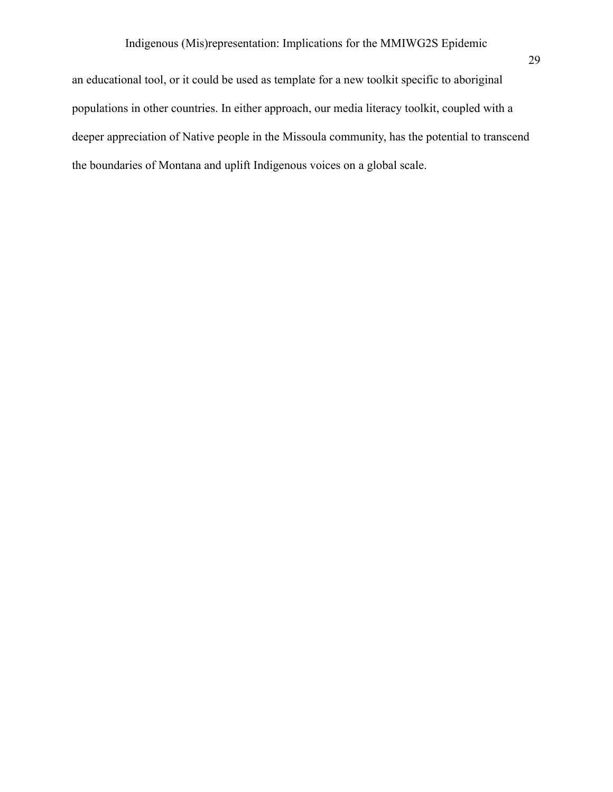29

an educational tool, or it could be used as template for a new toolkit specific to aboriginal populations in other countries. In either approach, our media literacy toolkit, coupled with a deeper appreciation of Native people in the Missoula community, has the potential to transcend the boundaries of Montana and uplift Indigenous voices on a global scale.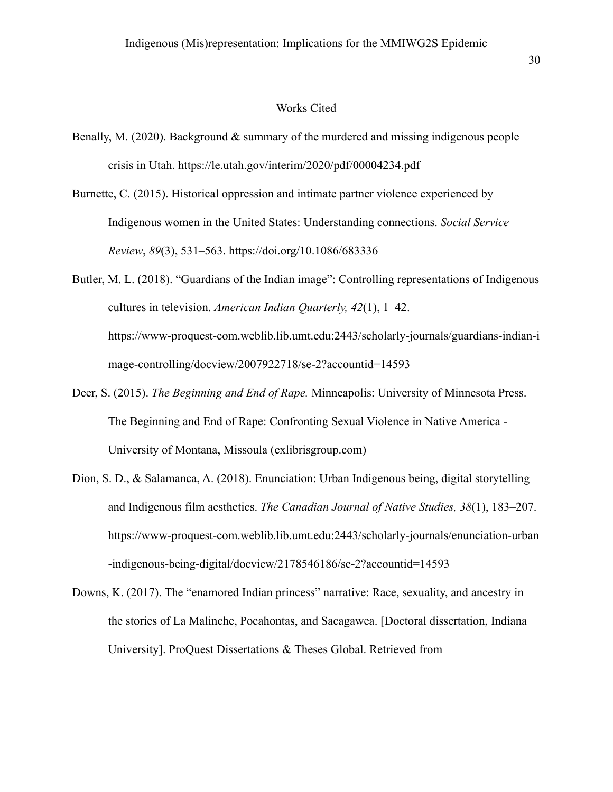#### Works Cited

- Benally, M. (2020). Background  $\&$  summary of the murdered and missing indigenous people crisis in Utah. https://le.utah.gov/interim/2020/pdf/00004234.pdf
- Burnette, C. (2015). Historical oppression and intimate partner violence experienced by Indigenous women in the United States: Understanding connections. *Social Service Review*, *89*(3), 531–563. https://doi.org/10.1086/683336
- Butler, M. L. (2018). "Guardians of the Indian image": Controlling representations of Indigenous cultures in television. *American Indian Quarterly, 42*(1), 1–42. [https://www-proquest-com.weblib.lib.umt.edu:2443/scholarly-journals/guardians-indian-i](https://www-proquest-com.weblib.lib.umt.edu:2443/scholarly-journals/guardians-indian-image-controlling/docview/2007922718/se-2?accountid=14593) [mage-controlling/docview/2007922718/se-2?accountid=14593](https://www-proquest-com.weblib.lib.umt.edu:2443/scholarly-journals/guardians-indian-image-controlling/docview/2007922718/se-2?accountid=14593)
- Deer, S. (2015). *The Beginning and End of Rape.* Minneapolis: University of Minnesota Press. [The Beginning and End of Rape: Confronting Sexual Violence in Native America -](https://um-primo.hosted.exlibrisgroup.com/primo-explore/fulldisplay?docid=TN_cdi_proquest_ebookcentral_EBC4391837&context=PC&vid=01TRAILS_UM&lang=en_US&search_scope=TRAILS&adaptor=primo_central_multiple_fe&tab=everything&query=any,contains,Sarah%20Deer) [University of Montana, Missoula \(exlibrisgroup.com\)](https://um-primo.hosted.exlibrisgroup.com/primo-explore/fulldisplay?docid=TN_cdi_proquest_ebookcentral_EBC4391837&context=PC&vid=01TRAILS_UM&lang=en_US&search_scope=TRAILS&adaptor=primo_central_multiple_fe&tab=everything&query=any,contains,Sarah%20Deer)
- Dion, S. D., & Salamanca, A. (2018). Enunciation: Urban Indigenous being, digital storytelling and Indigenous film aesthetics. *The Canadian Journal of Native Studies, 38*(1), 183–207. [https://www-proquest-com.weblib.lib.umt.edu:2443/scholarly-journals/enunciation-urban](https://www-proquest-com.weblib.lib.umt.edu:2443/scholarly-journals/enunciation-urban-indigenous-being-digital/docview/2178546186/se-2?accountid=14593) [-indigenous-being-digital/docview/2178546186/se-2?accountid=14593](https://www-proquest-com.weblib.lib.umt.edu:2443/scholarly-journals/enunciation-urban-indigenous-being-digital/docview/2178546186/se-2?accountid=14593)
- Downs, K. (2017). The "enamored Indian princess" narrative: Race, sexuality, and ancestry in the stories of La Malinche, Pocahontas, and Sacagawea. [Doctoral dissertation, Indiana University]. ProQuest Dissertations & Theses Global. Retrieved from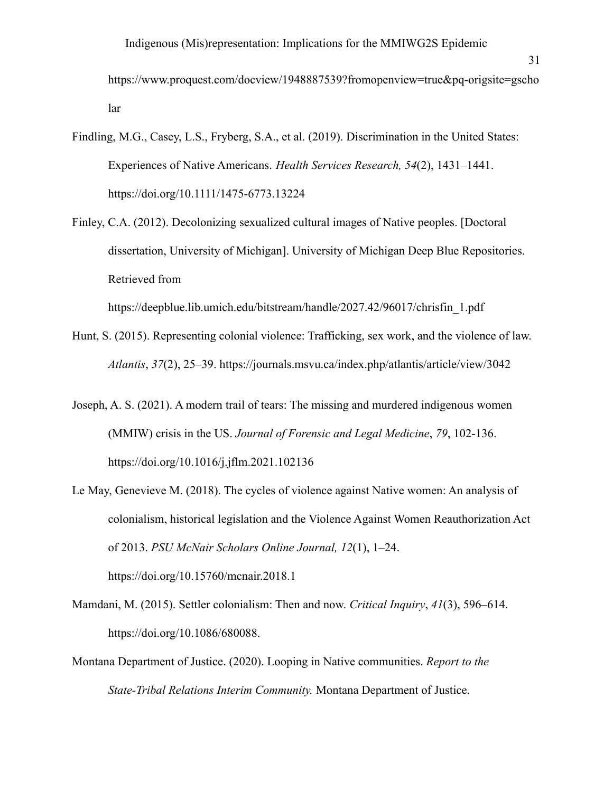https://www.proquest.com/docview/1948887539?fromopenview=true&pq-origsite=gscho lar

- Findling, M.G., Casey, L.S., Fryberg, S.A., et al. (2019). Discrimination in the United States: Experiences of Native Americans. *Health Services Research, 54*(2), 1431–1441. https://doi.org/10.1111/1475-6773.13224
- Finley, C.A. (2012). Decolonizing sexualized cultural images of Native peoples. [Doctoral dissertation, University of Michigan]. University of Michigan Deep Blue Repositories. Retrieved from

https://deepblue.lib.umich.edu/bitstream/handle/2027.42/96017/chrisfin\_1.pdf

- Hunt, S. (2015). Representing colonial violence: Trafficking, sex work, and the violence of law. *Atlantis*, *37*(2), 25–39. https://journals.msvu.ca/index.php/atlantis/article/view/3042
- Joseph, A. S. (2021). A modern trail of tears: The missing and murdered indigenous women (MMIW) crisis in the US. *Journal of Forensic and Legal Medicine*, *79*, 102-136. https://doi.org/10.1016/j.jflm.2021.102136
- Le May, Genevieve M. (2018). The cycles of violence against Native women: An analysis of colonialism, historical legislation and the Violence Against Women Reauthorization Act of 2013. *PSU McNair Scholars Online Journal, 12*(1), 1–24. https://doi.org/10.15760/mcnair.2018.1
- Mamdani, M. (2015). Settler colonialism: Then and now. *Critical Inquiry*, *41*(3), 596–614. <https://doi.org/10.1086/680088>.
- Montana Department of Justice. (2020). Looping in Native communities. *Report to the State-Tribal Relations Interim Community.* Montana Department of Justice.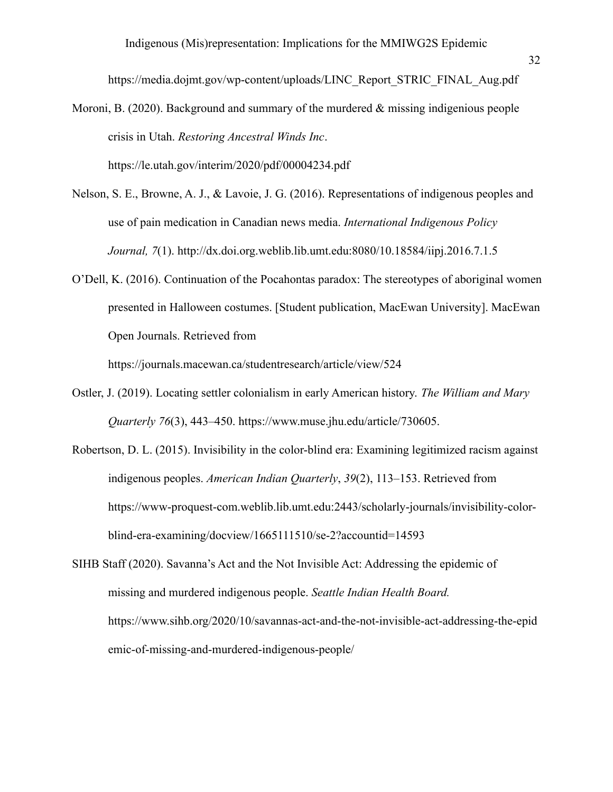[https://media.dojmt.gov/wp-content/uploads/LINC\\_Report\\_STRIC\\_FINAL\\_Aug.pdf](https://media.dojmt.gov/wp-content/uploads/LINC_Report_STRIC_FINAL_Aug.pdf)

- Moroni, B. (2020). Background and summary of the murdered  $\&$  missing indigenious people crisis in Utah. *Restoring Ancestral Winds Inc*. <https://le.utah.gov/interim/2020/pdf/00004234.pdf>
- Nelson, S. E., Browne, A. J., & Lavoie, J. G. (2016). Representations of indigenous peoples and use of pain medication in Canadian news media. *International Indigenous Policy Journal, 7*(1). http://dx.doi.org.weblib.lib.umt.edu:8080/10.18584/iipj.2016.7.1.5
- O'Dell, K. (2016). Continuation of the Pocahontas paradox: The stereotypes of aboriginal women presented in Halloween costumes. [Student publication, MacEwan University]. MacEwan Open Journals. Retrieved from

https://journals.macewan.ca/studentresearch/article/view/524

- Ostler, J. (2019). Locating settler colonialism in early American history. *The William and Mary Quarterly 76*(3), 443–450. [https://www.muse.jhu.edu/article/730605.](https://muse-jhu-edu.weblib.lib.umt.edu:2443/article/730605)
- Robertson, D. L. (2015). Invisibility in the color-blind era: Examining legitimized racism against indigenous peoples. *American Indian Quarterly*, *39*(2), 113–153. Retrieved from https://www-proquest-com.weblib.lib.umt.edu:2443/scholarly-journals/invisibility-colorblind-era-examining/docview/1665111510/se-2?accountid=14593
- SIHB Staff (2020). Savanna's Act and the Not Invisible Act: Addressing the epidemic of missing and murdered indigenous people. *Seattle Indian Health Board.* https://www.sihb.org/2020/10/savannas-act-and-the-not-invisible-act-addressing-the-epid emic-of-missing-and-murdered-indigenous-people/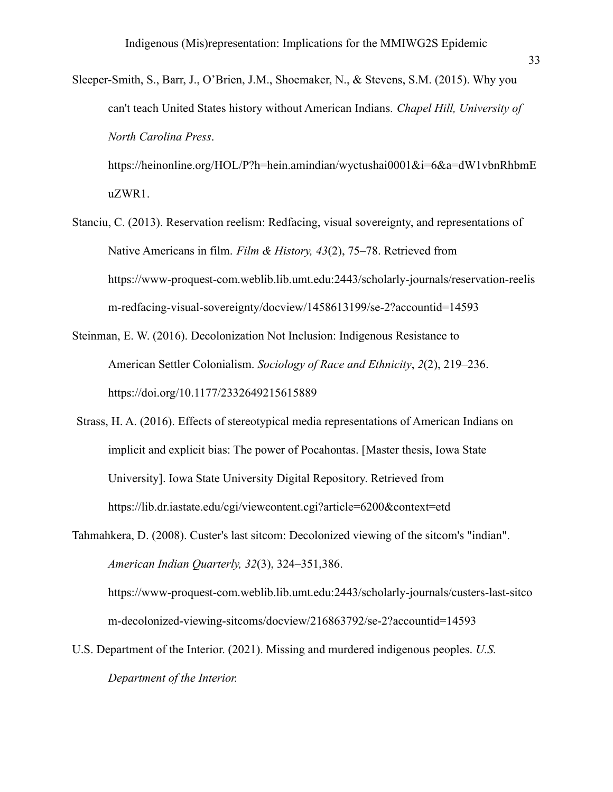Sleeper-Smith, S., Barr, J., O'Brien, J.M., Shoemaker, N., & Stevens, S.M. (2015). Why you can't teach United States history without American Indians. *Chapel Hill, University of North Carolina Press*.

[https://heinonline.org/HOL/P?h=hein.amindian/wyctushai0001&i=6&a=dW1vbnRhbmE](https://heinonline.org/HOL/P?h=hein.amindian/wyctushai0001&i=6&a=dW1vbnRhbmEuZWR1) [uZWR1.](https://heinonline.org/HOL/P?h=hein.amindian/wyctushai0001&i=6&a=dW1vbnRhbmEuZWR1)

- Stanciu, C. (2013). Reservation reelism: Redfacing, visual sovereignty, and representations of Native Americans in film. *Film & History, 43*(2), 75–78. Retrieved from [https://www-proquest-com.weblib.lib.umt.edu:2443/scholarly-journals/reservation-reelis](https://www-proquest-com.weblib.lib.umt.edu:2443/scholarly-journals/reservation-reelism-redfacing-visual-sovereignty/docview/1458613199/se-2?accountid=14593) [m-redfacing-visual-sovereignty/docview/1458613199/se-2?accountid=14593](https://www-proquest-com.weblib.lib.umt.edu:2443/scholarly-journals/reservation-reelism-redfacing-visual-sovereignty/docview/1458613199/se-2?accountid=14593)
- Steinman, E. W. (2016). Decolonization Not Inclusion: Indigenous Resistance to American Settler Colonialism. *Sociology of Race and Ethnicity*, *2*(2), 219–236. https://doi.org/10.1177/2332649215615889
- Strass, H. A. (2016). Effects of stereotypical media representations of American Indians on implicit and explicit bias: The power of Pocahontas. [Master thesis, Iowa State University]. Iowa State University Digital Repository. Retrieved from https://lib.dr.iastate.edu/cgi/viewcontent.cgi?article=6200&context=etd
- Tahmahkera, D. (2008). Custer's last sitcom: Decolonized viewing of the sitcom's "indian". *American Indian Quarterly, 32*(3), 324–351,386. [https://www-proquest-com.weblib.lib.umt.edu:2443/scholarly-journals/custers-last-sitco](https://www-proquest-com.weblib.lib.umt.edu:2443/scholarly-journals/custers-last-sitcom-decolonized-viewing-sitcoms/docview/216863792/se-2?accountid=14593)

[m-decolonized-viewing-sitcoms/docview/216863792/se-2?accountid=14593](https://www-proquest-com.weblib.lib.umt.edu:2443/scholarly-journals/custers-last-sitcom-decolonized-viewing-sitcoms/docview/216863792/se-2?accountid=14593)

U.S. Department of the Interior. (2021). Missing and murdered indigenous peoples. *U.S. Department of the Interior.*